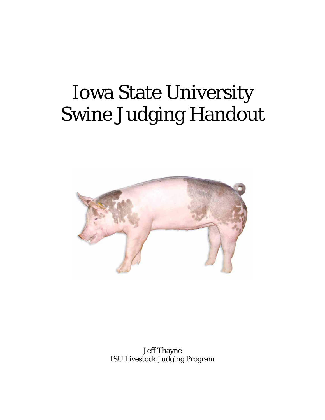# Iowa State University Swine Judging Handout



Jeff Thayne ISU Livestock Judging Program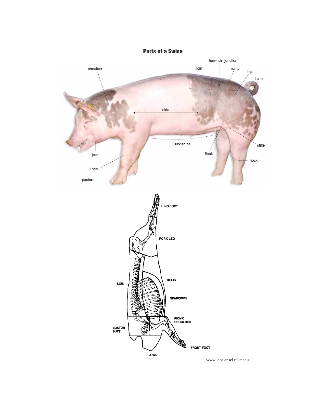

www.labs.ansci.uiuc.edu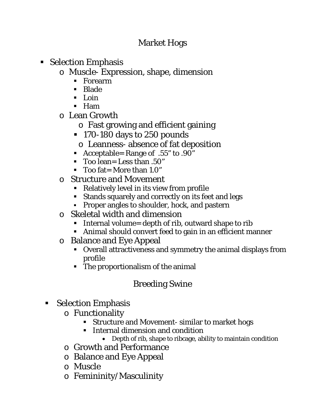## Market Hogs

- Selection Emphasis
	- o Muscle- Expression, shape, dimension
		- Forearm
		- **Blade**
		- $\blacksquare$  Loin
		- Ham
	- o Lean Growth
		- o Fast growing and efficient gaining
		- 170-180 days to 250 pounds
			- o Leanness- absence of fat deposition
		- Acceptable= Range of .55" to .90"
		- Too lean= Less than .50"
		- $\blacksquare$  Too fat = More than 1.0"
	- o Structure and Movement
		- Relatively level in its view from profile
		- Stands squarely and correctly on its feet and legs
		- Proper angles to shoulder, hock, and pastern
	- o Skeletal width and dimension
		- Internal volume= depth of rib, outward shape to rib
		- Animal should convert feed to gain in an efficient manner
	- o Balance and Eye Appeal
		- Overall attractiveness and symmetry the animal displays from profile
		- The proportionalism of the animal

# Breeding Swine

- **Selection Emphasis** 
	- o Functionality
		- Structure and Movement- similar to market hogs
		- **Internal dimension and condition** 
			- Depth of rib, shape to ribcage, ability to maintain condition
	- o Growth and Performance
	- o Balance and Eye Appeal
	- o Muscle
	- o Femininity/Masculinity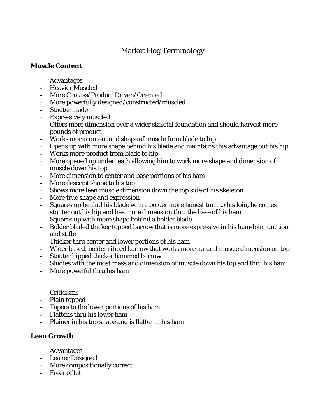### Market Hog Terminology

#### **Muscle Content**

Advantages

- Heavier Muscled
- More Carcass/Product Driven/Oriented
- More powerfully designed/constructed/muscled
- Stouter made
- Expressively muscled
- Offers more dimension over a wider skeletal foundation and should harvest more pounds of product
- Works more content and shape of muscle from blade to hip
- Opens up with more shape behind his blade and maintains this advantage out his hip
- Works more product from blade to hip
- More opened up underneath allowing him to work more shape and dimension of muscle down his top
- More dimension to center and base portions of his ham
- More descript shape to his top
- Shows more lean muscle dimension down the top side of his skeleton
- More true shape and expression
- Squares up behind his blade with a bolder more honest turn to his loin, he comes stouter out his hip and has more dimension thru the base of his ham
- Squares up with more shape behind a bolder blade
- Bolder bladed thicker topped barrow that is more expressive in his ham-loin junction and stifle
- Thicker thru center and lower portions of his ham
- Wider based, bolder ribbed barrow that works more natural muscle dimension on top
- Stouter hipped thicker hammed barrow
- Studies with the most mass and dimension of muscle down his top and thru his ham
- More powerful thru his ham

#### Criticisms

- Plain topped
- Tapers to the lower portions of his ham
- Flattens thru his lower ham
- Plainer in his top shape and is flatter in his ham

#### **Lean Growth**

Advantages

- Leaner Designed
- More compositionally correct
- Freer of fat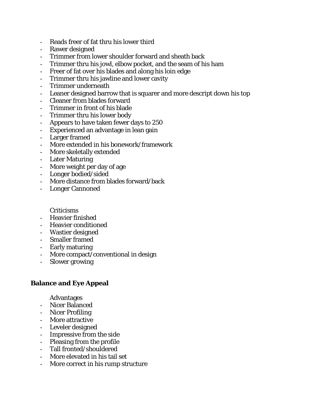- Reads freer of fat thru his lower third
- Rawer designed
- Trimmer from lower shoulder forward and sheath back
- Trimmer thru his jowl, elbow pocket, and the seam of his ham
- Freer of fat over his blades and along his loin edge
- Trimmer thru his jawline and lower cavity
- Trimmer underneath
- Leaner designed barrow that is squarer and more descript down his top
- Cleaner from blades forward
- Trimmer in front of his blade
- Trimmer thru his lower body
- Appears to have taken fewer days to 250
- Experienced an advantage in lean gain
- Larger framed
- More extended in his bonework/framework
- More skeletally extended
- Later Maturing
- More weight per day of age
- Longer bodied/sided
- More distance from blades forward/back
- Longer Cannoned

Criticisms

- Heavier finished
- Heavier conditioned
- Wastier designed
- Smaller framed
- Early maturing
- More compact/conventional in design
- Slower growing

#### **Balance and Eye Appeal**

Advantages

- Nicer Balanced
- Nicer Profiling
- More attractive
- Leveler designed
- Impressive from the side
- Pleasing from the profile
- Tall fronted/shouldered
- More elevated in his tail set
- More correct in his rump structure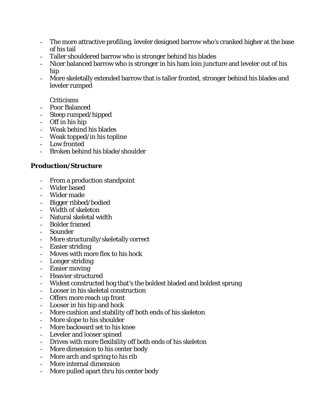- The more attractive profiling, leveler designed barrow who's cranked higher at the base of his tail
- Taller shouldered barrow who is stronger behind his blades
- Nicer balanced barrow who is stronger in his ham loin juncture and leveler out of his hip
- More skeletally extended barrow that is taller fronted, stronger behind his blades and leveler rumped

#### Criticisms

- Poor Balanced
- Steep rumped/hipped
- Off in his hip
- Weak behind his blades
- Weak topped/in his topline
- Low fronted
- Broken behind his blade/shoulder

#### **Production/Structure**

- From a production standpoint
- Wider based
- Wider made
- Bigger ribbed/bodied
- Width of skeleton
- Natural skeletal width
- Bolder framed
- Sounder
- More structurally/skeletally correct
- Easier striding
- Moves with more flex to his hock
- Longer striding
- Easier moving
- Heavier structured
- Widest constructed hog that's the boldest bladed and boldest sprung
- Looser in his skeletal construction
- Offers more reach up front
- Looser in his hip and hock
- More cushion and stability off both ends of his skeleton
- More slope to his shoulder
- More backward set to his knee
- Leveler and looser spined
- Drives with more flexibility off both ends of his skeleton
- More dimension to his center body
- More arch and spring to his rib
- More internal dimension
- More pulled apart thru his center body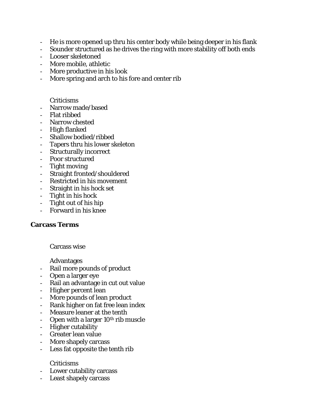- He is more opened up thru his center body while being deeper in his flank
- Sounder structured as he drives the ring with more stability off both ends
- Looser skeletoned
- More mobile, athletic
- More productive in his look
- More spring and arch to his fore and center rib

#### Criticisms

- Narrow made/based
- Flat ribbed
- Narrow chested
- High flanked
- Shallow bodied/ribbed
- Tapers thru his lower skeleton
- Structurally incorrect
- Poor structured
- Tight moving
- Straight fronted/shouldered
- Restricted in his movement
- Straight in his hock set
- Tight in his hock
- Tight out of his hip
- Forward in his knee

#### **Carcass Terms**

Carcass wise

Advantages

- Rail more pounds of product
- Open a larger eye
- Rail an advantage in cut out value
- Higher percent lean
- More pounds of lean product
- Rank higher on fat free lean index
- Measure leaner at the tenth
- Open with a larger  $10<sup>th</sup>$  rib muscle
- Higher cutability
- Greater lean value
- More shapely carcass
- Less fat opposite the tenth rib

#### Criticisms

- Lower cutability carcass
- Least shapely carcass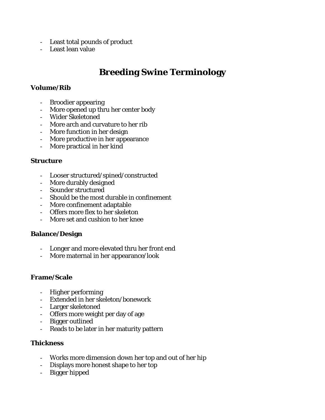- Least total pounds of product
- Least lean value

## **Breeding Swine Terminology**

#### **Volume/Rib**

- Broodier appearing
- More opened up thru her center body
- Wider Skeletoned
- More arch and curvature to her rib
- More function in her design
- More productive in her appearance
- More practical in her kind

#### **Structure**

- Looser structured/spined/constructed
- More durably designed
- Sounder structured
- Should be the most durable in confinement
- More confinement adaptable
- Offers more flex to her skeleton
- More set and cushion to her knee

#### **Balance/Design**

- Longer and more elevated thru her front end
- More maternal in her appearance/look

#### **Frame/Scale**

- Higher performing
- Extended in her skeleton/bonework
- Larger skeletoned
- Offers more weight per day of age
- Bigger outlined
- Reads to be later in her maturity pattern

#### **Thickness**

- Works more dimension down her top and out of her hip
- Displays more honest shape to her top
- Bigger hipped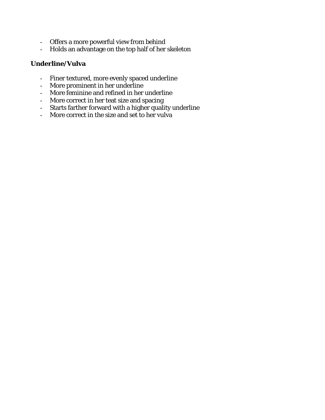- Offers a more powerful view from behind
- Holds an advantage on the top half of her skeleton

#### **Underline/Vulva**

- Finer textured, more evenly spaced underline
- More prominent in her underline
- More feminine and refined in her underline
- More correct in her teat size and spacing
- Starts farther forward with a higher quality underline
- More correct in the size and set to her vulva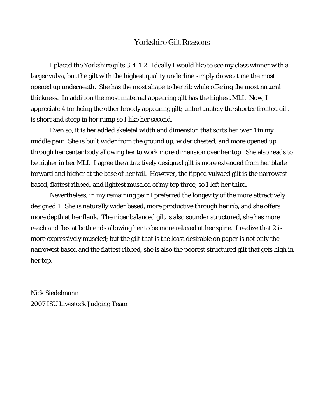#### Yorkshire Gilt Reasons

I placed the Yorkshire gilts 3-4-1-2. Ideally I would like to see my class winner with a larger vulva, but the gilt with the highest quality underline simply drove at me the most opened up underneath. She has the most shape to her rib while offering the most natural thickness. In addition the most maternal appearing gilt has the highest MLI. Now, I appreciate 4 for being the other broody appearing gilt; unfortunately the shorter fronted gilt is short and steep in her rump so I like her second.

 Even so, it is her added skeletal width and dimension that sorts her over 1 in my middle pair. She is built wider from the ground up, wider chested, and more opened up through her center body allowing her to work more dimension over her top. She also reads to be higher in her MLI. I agree the attractively designed gilt is more extended from her blade forward and higher at the base of her tail. However, the tipped vulvaed gilt is the narrowest based, flattest ribbed, and lightest muscled of my top three, so I left her third.

 Nevertheless, in my remaining pair I preferred the longevity of the more attractively designed 1. She is naturally wider based, more productive through her rib, and she offers more depth at her flank. The nicer balanced gilt is also sounder structured, she has more reach and flex at both ends allowing her to be more relaxed at her spine. I realize that 2 is more expressively muscled; but the gilt that is the least desirable on paper is not only the narrowest based and the flattest ribbed, she is also the poorest structured gilt that gets high in her top.

Nick Siedelmann 2007 ISU Livestock Judging Team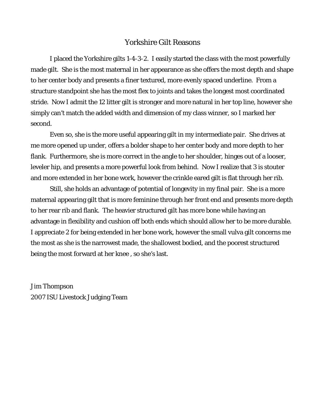#### Yorkshire Gilt Reasons

I placed the Yorkshire gilts 1-4-3-2. I easily started the class with the most powerfully made gilt. She is the most maternal in her appearance as she offers the most depth and shape to her center body and presents a finer textured, more evenly spaced underline. From a structure standpoint she has the most flex to joints and takes the longest most coordinated stride. Now I admit the 12 litter gilt is stronger and more natural in her top line, however she simply can't match the added width and dimension of my class winner, so I marked her second.

Even so, she is the more useful appearing gilt in my intermediate pair. She drives at me more opened up under, offers a bolder shape to her center body and more depth to her flank. Furthermore, she is more correct in the angle to her shoulder, hinges out of a looser, leveler hip, and presents a more powerful look from behind. Now I realize that 3 is stouter and more extended in her bone work, however the crinkle eared gilt is flat through her rib.

Still, she holds an advantage of potential of longevity in my final pair. She is a more maternal appearing gilt that is more feminine through her front end and presents more depth to her rear rib and flank. The heavier structured gilt has more bone while having an advantage in flexibility and cushion off both ends which should allow her to be more durable. I appreciate 2 for being extended in her bone work, however the small vulva gilt concerns me the most as she is the narrowest made, the shallowest bodied, and the poorest structured being the most forward at her knee , so she's last.

Jim Thompson 2007 ISU Livestock Judging Team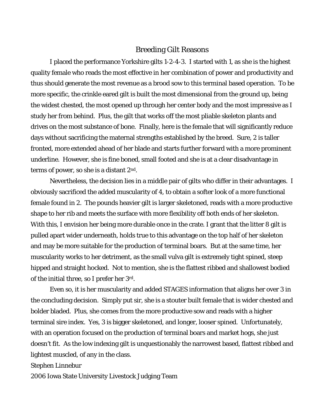#### Breeding Gilt Reasons

I placed the performance Yorkshire gilts 1-2-4-3. I started with 1, as she is the highest quality female who reads the most effective in her combination of power and productivity and thus should generate the most revenue as a brood sow to this terminal based operation. To be more specific, the crinkle eared gilt is built the most dimensional from the ground up, being the widest chested, the most opened up through her center body and the most impressive as I study her from behind. Plus, the gilt that works off the most pliable skeleton plants and drives on the most substance of bone. Finally, here is the female that will significantly reduce days without sacrificing the maternal strengths established by the breed. Sure, 2 is taller fronted, more extended ahead of her blade and starts further forward with a more prominent underline. However, she is fine boned, small footed and she is at a clear disadvantage in terms of power, so she is a distant 2nd.

Nevertheless, the decision lies in a middle pair of gilts who differ in their advantages. I obviously sacrificed the added muscularity of 4, to obtain a softer look of a more functional female found in 2. The pounds heavier gilt is larger skeletoned, reads with a more productive shape to her rib and meets the surface with more flexibility off both ends of her skeleton. With this, I envision her being more durable once in the crate. I grant that the litter 8 gilt is pulled apart wider underneath, holds true to this advantage on the top half of her skeleton and may be more suitable for the production of terminal boars. But at the same time, her muscularity works to her detriment, as the small vulva gilt is extremely tight spined, steep hipped and straight hocked. Not to mention, she is the flattest ribbed and shallowest bodied of the initial three, so I prefer her 3rd.

Even so, it is her muscularity and added STAGES information that aligns her over 3 in the concluding decision. Simply put sir, she is a stouter built female that is wider chested and bolder bladed. Plus, she comes from the more productive sow and reads with a higher terminal sire index. Yes, 3 is bigger skeletoned, and longer, looser spined. Unfortunately, with an operation focused on the production of terminal boars and market hogs, she just doesn't fit. As the low indexing gilt is unquestionably the narrowest based, flattest ribbed and lightest muscled, of any in the class.

#### Stephen Linnebur

2006 Iowa State University Livestock Judging Team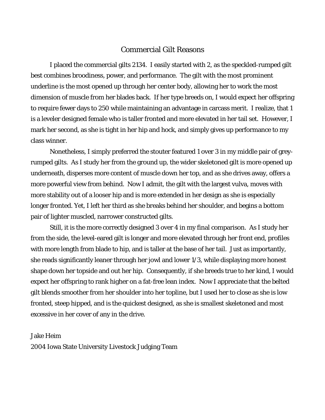#### Commercial Gilt Reasons

I placed the commercial gilts 2134. I easily started with 2, as the speckled-rumped gilt best combines broodiness, power, and performance. The gilt with the most prominent underline is the most opened up through her center body, allowing her to work the most dimension of muscle from her blades back. If her type breeds on, I would expect her offspring to require fewer days to 250 while maintaining an advantage in carcass merit. I realize, that 1 is a leveler designed female who is taller fronted and more elevated in her tail set. However, I mark her second, as she is tight in her hip and hock, and simply gives up performance to my class winner.

Nonetheless, I simply preferred the stouter featured 1 over 3 in my middle pair of greyrumped gilts. As I study her from the ground up, the wider skeletoned gilt is more opened up underneath, disperses more content of muscle down her top, and as she drives away, offers a more powerful view from behind. Now I admit, the gilt with the largest vulva, moves with more stability out of a looser hip and is more extended in her design as she is especially longer fronted. Yet, I left her third as she breaks behind her shoulder, and begins a bottom pair of lighter muscled, narrower constructed gilts.

Still, it is the more correctly designed 3 over 4 in my final comparison. As I study her from the side, the level-eared gilt is longer and more elevated through her front end, profiles with more length from blade to hip, and is taller at the base of her tail. Just as importantly, she reads significantly leaner through her jowl and lower 1/3, while displaying more honest shape down her topside and out her hip. Consequently, if she breeds true to her kind, I would expect her offspring to rank higher on a fat-free lean index. Now I appreciate that the belted gilt blends smoother from her shoulder into her topline, but I used her to close as she is low fronted, steep hipped, and is the quickest designed, as she is smallest skeletoned and most excessive in her cover of any in the drive.

#### Jake Heim

2004 Iowa State University Livestock Judging Team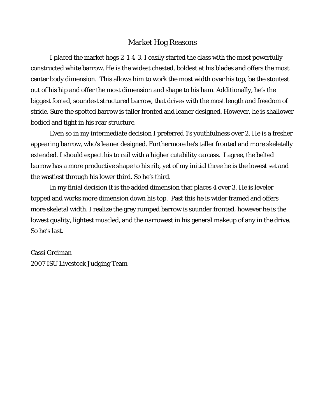#### Market Hog Reasons

I placed the market hogs 2-1-4-3. I easily started the class with the most powerfully constructed white barrow. He is the widest chested, boldest at his blades and offers the most center body dimension. This allows him to work the most width over his top, be the stoutest out of his hip and offer the most dimension and shape to his ham. Additionally, he's the biggest footed, soundest structured barrow, that drives with the most length and freedom of stride. Sure the spotted barrow is taller fronted and leaner designed. However, he is shallower bodied and tight in his rear structure.

Even so in my intermediate decision I preferred 1's youthfulness over 2. He is a fresher appearing barrow, who's leaner designed. Furthermore he's taller fronted and more skeletally extended. I should expect his to rail with a higher cutability carcass. I agree, the belted barrow has a more productive shape to his rib, yet of my initial three he is the lowest set and the wastiest through his lower third. So he's third.

In my finial decision it is the added dimension that places 4 over 3. He is leveler topped and works more dimension down his top. Past this he is wider framed and offers more skeletal width. I realize the grey rumped barrow is sounder fronted, however he is the lowest quality, lightest muscled, and the narrowest in his general makeup of any in the drive. So he's last.

Cassi Greiman 2007 ISU Livestock Judging Team